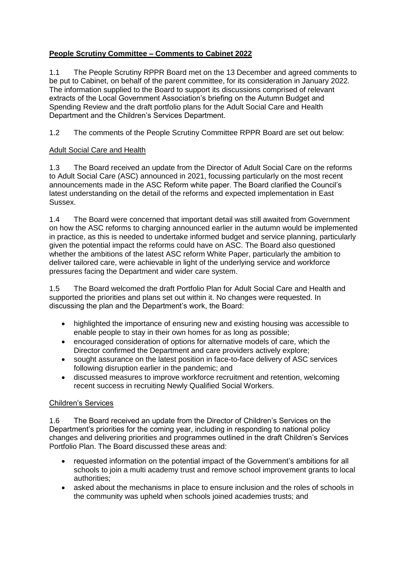## **People Scrutiny Committee – Comments to Cabinet 2022**

1.1 The People Scrutiny RPPR Board met on the 13 December and agreed comments to be put to Cabinet, on behalf of the parent committee, for its consideration in January 2022. The information supplied to the Board to support its discussions comprised of relevant extracts of the Local Government Association's briefing on the Autumn Budget and Spending Review and the draft portfolio plans for the Adult Social Care and Health Department and the Children's Services Department.

1.2 The comments of the People Scrutiny Committee RPPR Board are set out below:

## Adult Social Care and Health

1.3 The Board received an update from the Director of Adult Social Care on the reforms to Adult Social Care (ASC) announced in 2021, focussing particularly on the most recent announcements made in the ASC Reform white paper. The Board clarified the Council's latest understanding on the detail of the reforms and expected implementation in East Sussex.

1.4 The Board were concerned that important detail was still awaited from Government on how the ASC reforms to charging announced earlier in the autumn would be implemented in practice, as this is needed to undertake informed budget and service planning, particularly given the potential impact the reforms could have on ASC. The Board also questioned whether the ambitions of the latest ASC reform White Paper, particularly the ambition to deliver tailored care, were achievable in light of the underlying service and workforce pressures facing the Department and wider care system.

1.5 The Board welcomed the draft Portfolio Plan for Adult Social Care and Health and supported the priorities and plans set out within it. No changes were requested. In discussing the plan and the Department's work, the Board:

- highlighted the importance of ensuring new and existing housing was accessible to enable people to stay in their own homes for as long as possible;
- encouraged consideration of options for alternative models of care, which the Director confirmed the Department and care providers actively explore;
- sought assurance on the latest position in face-to-face delivery of ASC services following disruption earlier in the pandemic; and
- discussed measures to improve workforce recruitment and retention, welcoming recent success in recruiting Newly Qualified Social Workers.

## Children's Services

1.6 The Board received an update from the Director of Children's Services on the Department's priorities for the coming year, including in responding to national policy changes and delivering priorities and programmes outlined in the draft Children's Services Portfolio Plan. The Board discussed these areas and:

- requested information on the potential impact of the Government's ambitions for all schools to join a multi academy trust and remove school improvement grants to local authorities;
- asked about the mechanisms in place to ensure inclusion and the roles of schools in the community was upheld when schools joined academies trusts; and